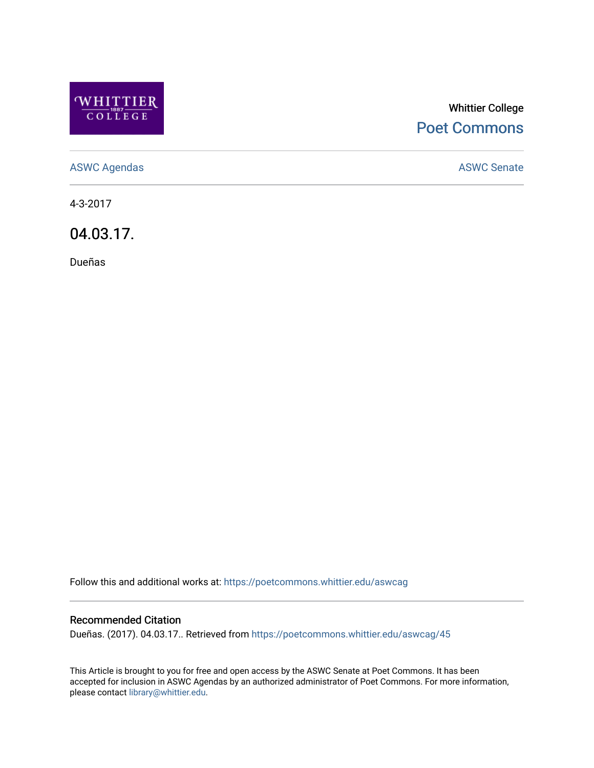

## Whittier College [Poet Commons](https://poetcommons.whittier.edu/)

[ASWC Agendas](https://poetcommons.whittier.edu/aswcag) **ASWC Senate** 

4-3-2017

04.03.17.

Dueñas

Follow this and additional works at: [https://poetcommons.whittier.edu/aswcag](https://poetcommons.whittier.edu/aswcag?utm_source=poetcommons.whittier.edu%2Faswcag%2F45&utm_medium=PDF&utm_campaign=PDFCoverPages) 

## Recommended Citation

Dueñas. (2017). 04.03.17.. Retrieved from [https://poetcommons.whittier.edu/aswcag/45](https://poetcommons.whittier.edu/aswcag/45?utm_source=poetcommons.whittier.edu%2Faswcag%2F45&utm_medium=PDF&utm_campaign=PDFCoverPages) 

This Article is brought to you for free and open access by the ASWC Senate at Poet Commons. It has been accepted for inclusion in ASWC Agendas by an authorized administrator of Poet Commons. For more information, please contact [library@whittier.edu](mailto:library@whittier.edu).